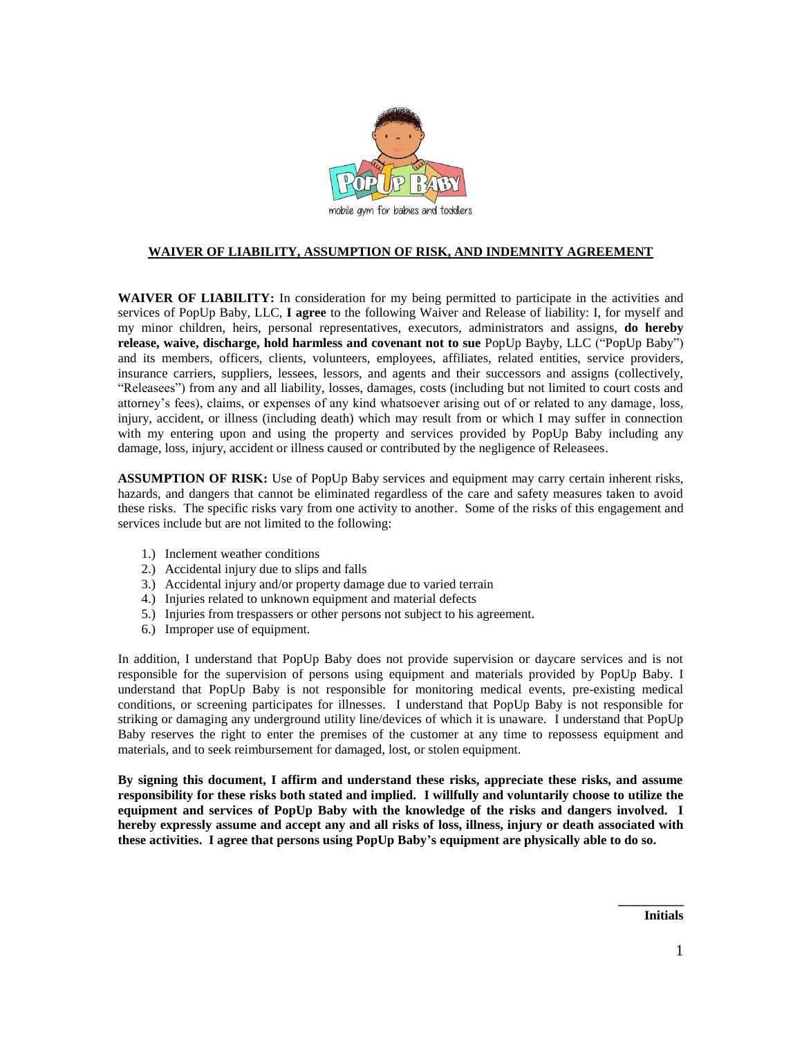

## **WAIVER OF LIABILITY, ASSUMPTION OF RISK, AND INDEMNITY AGREEMENT**

**WAIVER OF LIABILITY:** In consideration for my being permitted to participate in the activities and services of PopUp Baby, LLC, **I agree** to the following Waiver and Release of liability: I, for myself and my minor children, heirs, personal representatives, executors, administrators and assigns, **do hereby release, waive, discharge, hold harmless and covenant not to sue** PopUp Bayby, LLC ("PopUp Baby") and its members, officers, clients, volunteers, employees, affiliates, related entities, service providers, insurance carriers, suppliers, lessees, lessors, and agents and their successors and assigns (collectively, "Releasees") from any and all liability, losses, damages, costs (including but not limited to court costs and attorney's fees), claims, or expenses of any kind whatsoever arising out of or related to any damage, loss, injury, accident, or illness (including death) which may result from or which I may suffer in connection with my entering upon and using the property and services provided by PopUp Baby including any damage, loss, injury, accident or illness caused or contributed by the negligence of Releasees.

**ASSUMPTION OF RISK:** Use of PopUp Baby services and equipment may carry certain inherent risks, hazards, and dangers that cannot be eliminated regardless of the care and safety measures taken to avoid these risks. The specific risks vary from one activity to another. Some of the risks of this engagement and services include but are not limited to the following:

- 1.) Inclement weather conditions
- 2.) Accidental injury due to slips and falls
- 3.) Accidental injury and/or property damage due to varied terrain
- 4.) Injuries related to unknown equipment and material defects
- 5.) Injuries from trespassers or other persons not subject to his agreement.
- 6.) Improper use of equipment.

In addition, I understand that PopUp Baby does not provide supervision or daycare services and is not responsible for the supervision of persons using equipment and materials provided by PopUp Baby. I understand that PopUp Baby is not responsible for monitoring medical events, pre-existing medical conditions, or screening participates for illnesses. I understand that PopUp Baby is not responsible for striking or damaging any underground utility line/devices of which it is unaware. I understand that PopUp Baby reserves the right to enter the premises of the customer at any time to repossess equipment and materials, and to seek reimbursement for damaged, lost, or stolen equipment.

**By signing this document, I affirm and understand these risks, appreciate these risks, and assume responsibility for these risks both stated and implied. I willfully and voluntarily choose to utilize the equipment and services of PopUp Baby with the knowledge of the risks and dangers involved. I hereby expressly assume and accept any and all risks of loss, illness, injury or death associated with these activities. I agree that persons using PopUp Baby's equipment are physically able to do so.**

**Initials**

**\_\_\_\_\_\_\_\_\_\_**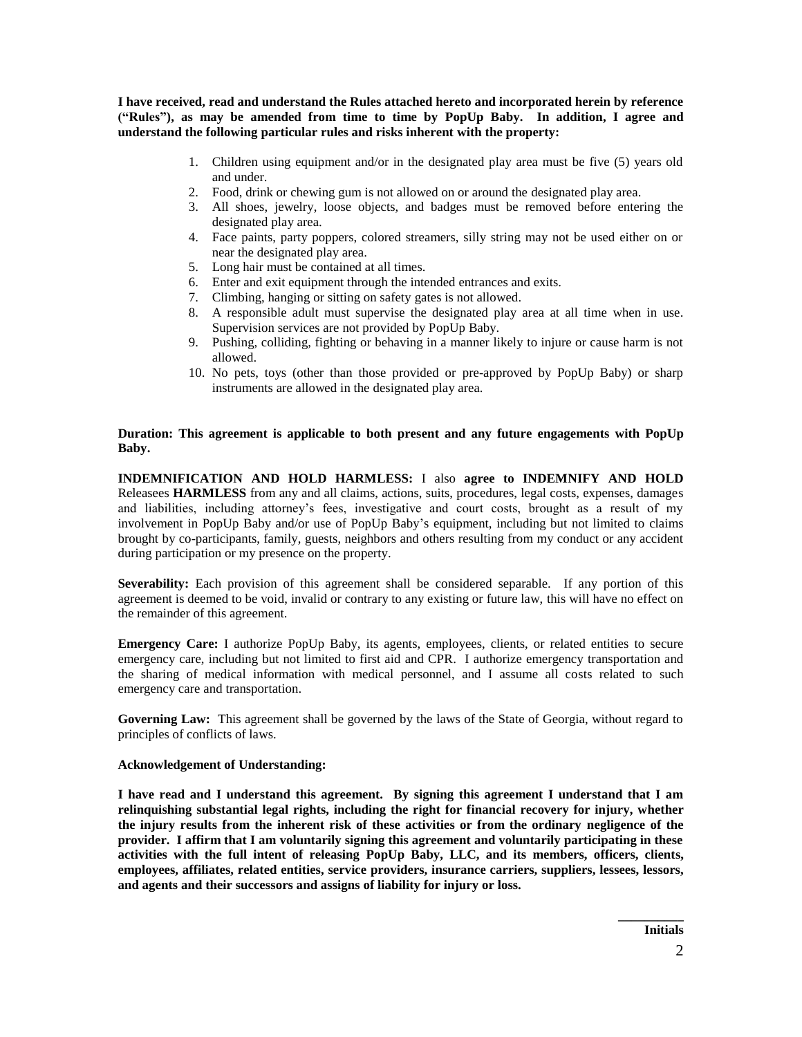**I have received, read and understand the Rules attached hereto and incorporated herein by reference ("Rules"), as may be amended from time to time by PopUp Baby. In addition, I agree and understand the following particular rules and risks inherent with the property:**

- 1. Children using equipment and/or in the designated play area must be five (5) years old and under.
- 2. Food, drink or chewing gum is not allowed on or around the designated play area.
- 3. All shoes, jewelry, loose objects, and badges must be removed before entering the designated play area.
- 4. Face paints, party poppers, colored streamers, silly string may not be used either on or near the designated play area.
- 5. Long hair must be contained at all times.
- 6. Enter and exit equipment through the intended entrances and exits.
- 7. Climbing, hanging or sitting on safety gates is not allowed.
- 8. A responsible adult must supervise the designated play area at all time when in use. Supervision services are not provided by PopUp Baby.
- 9. Pushing, colliding, fighting or behaving in a manner likely to injure or cause harm is not allowed.
- 10. No pets, toys (other than those provided or pre-approved by PopUp Baby) or sharp instruments are allowed in the designated play area.

## **Duration: This agreement is applicable to both present and any future engagements with PopUp Baby.**

**INDEMNIFICATION AND HOLD HARMLESS:** I also **agree to INDEMNIFY AND HOLD** Releasees **HARMLESS** from any and all claims, actions, suits, procedures, legal costs, expenses, damages and liabilities, including attorney's fees, investigative and court costs, brought as a result of my involvement in PopUp Baby and/or use of PopUp Baby's equipment, including but not limited to claims brought by co-participants, family, guests, neighbors and others resulting from my conduct or any accident during participation or my presence on the property.

**Severability:** Each provision of this agreement shall be considered separable. If any portion of this agreement is deemed to be void, invalid or contrary to any existing or future law, this will have no effect on the remainder of this agreement.

**Emergency Care:** I authorize PopUp Baby, its agents, employees, clients, or related entities to secure emergency care, including but not limited to first aid and CPR. I authorize emergency transportation and the sharing of medical information with medical personnel, and I assume all costs related to such emergency care and transportation.

**Governing Law:** This agreement shall be governed by the laws of the State of Georgia, without regard to principles of conflicts of laws.

## **Acknowledgement of Understanding:**

**I have read and I understand this agreement. By signing this agreement I understand that I am relinquishing substantial legal rights, including the right for financial recovery for injury, whether the injury results from the inherent risk of these activities or from the ordinary negligence of the provider. I affirm that I am voluntarily signing this agreement and voluntarily participating in these activities with the full intent of releasing PopUp Baby, LLC, and its members, officers, clients, employees, affiliates, related entities, service providers, insurance carriers, suppliers, lessees, lessors, and agents and their successors and assigns of liability for injury or loss.** 

**\_\_\_\_\_\_\_\_\_\_**